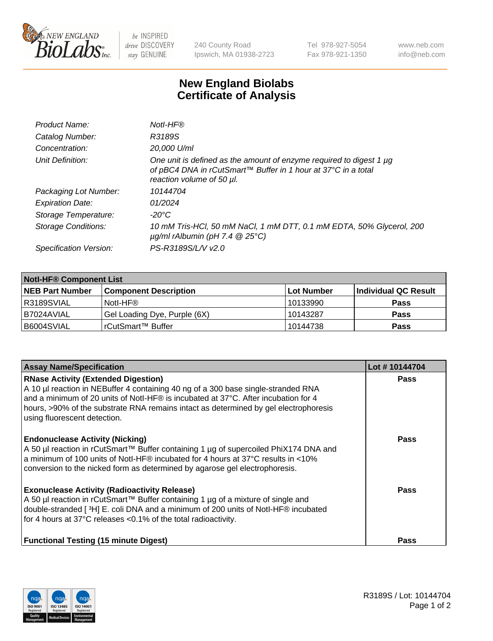

 $be$  INSPIRED drive DISCOVERY stay GENUINE

240 County Road Ipswich, MA 01938-2723 Tel 978-927-5054 Fax 978-921-1350 www.neb.com info@neb.com

## **New England Biolabs Certificate of Analysis**

| Product Name:              | Notl-HF®                                                                                                                                                          |
|----------------------------|-------------------------------------------------------------------------------------------------------------------------------------------------------------------|
| Catalog Number:            | R3189S                                                                                                                                                            |
| Concentration:             | 20,000 U/ml                                                                                                                                                       |
| Unit Definition:           | One unit is defined as the amount of enzyme required to digest 1 µg<br>of pBC4 DNA in rCutSmart™ Buffer in 1 hour at 37°C in a total<br>reaction volume of 50 µl. |
| Packaging Lot Number:      | 10144704                                                                                                                                                          |
| <b>Expiration Date:</b>    | 01/2024                                                                                                                                                           |
| Storage Temperature:       | $-20^{\circ}$ C                                                                                                                                                   |
| <b>Storage Conditions:</b> | 10 mM Tris-HCl, 50 mM NaCl, 1 mM DTT, 0.1 mM EDTA, 50% Glycerol, 200<br>$\mu$ g/ml rAlbumin (pH 7.4 $\circledR$ 25°C)                                             |
| Specification Version:     | PS-R3189S/L/V v2.0                                                                                                                                                |
|                            |                                                                                                                                                                   |

| <b>Notl-HF® Component List</b> |                              |            |                      |  |  |
|--------------------------------|------------------------------|------------|----------------------|--|--|
| <b>NEB Part Number</b>         | <b>Component Description</b> | Lot Number | Individual QC Result |  |  |
| I R3189SVIAL                   | Notl-HF®                     | 10133990   | <b>Pass</b>          |  |  |
| I B7024AVIAL                   | Gel Loading Dye, Purple (6X) | 10143287   | <b>Pass</b>          |  |  |
| B6004SVIAL                     | rCutSmart™ Buffer            | 10144738   | <b>Pass</b>          |  |  |

| <b>Assay Name/Specification</b>                                                                                                                                                                                                                                                                                                               | Lot #10144704 |
|-----------------------------------------------------------------------------------------------------------------------------------------------------------------------------------------------------------------------------------------------------------------------------------------------------------------------------------------------|---------------|
| <b>RNase Activity (Extended Digestion)</b><br>A 10 µl reaction in NEBuffer 4 containing 40 ng of a 300 base single-stranded RNA<br>and a minimum of 20 units of Notl-HF® is incubated at 37°C. After incubation for 4<br>hours, >90% of the substrate RNA remains intact as determined by gel electrophoresis<br>using fluorescent detection. | <b>Pass</b>   |
| <b>Endonuclease Activity (Nicking)</b><br>A 50 µl reaction in rCutSmart™ Buffer containing 1 µg of supercoiled PhiX174 DNA and<br>a minimum of 100 units of Notl-HF® incubated for 4 hours at 37°C results in <10%<br>conversion to the nicked form as determined by agarose gel electrophoresis.                                             | <b>Pass</b>   |
| <b>Exonuclease Activity (Radioactivity Release)</b><br>A 50 µl reaction in rCutSmart™ Buffer containing 1 µg of a mixture of single and<br>double-stranded [3H] E. coli DNA and a minimum of 200 units of Notl-HF® incubated<br>for 4 hours at 37°C releases <0.1% of the total radioactivity.                                                | <b>Pass</b>   |
| <b>Functional Testing (15 minute Digest)</b>                                                                                                                                                                                                                                                                                                  | Pass          |